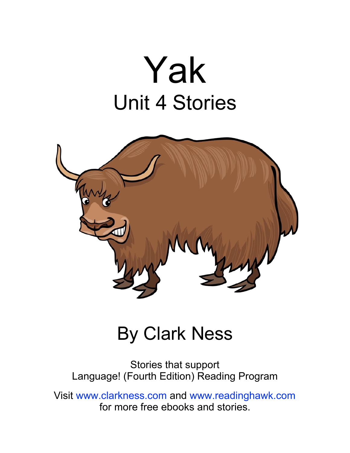# Yak Unit 4 Stories



#### By Clark Ness

Stories that support Language! (Fourth Edition) Reading Program

Visit [www.clarkness.com](http://www.clarkness.com) and [www.readinghawk.com](http://www.readinghawk.com) for more free ebooks and stories.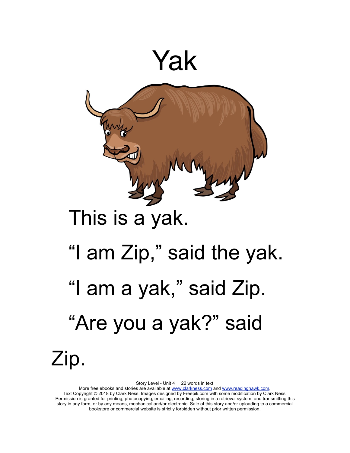

Story Level - Unit 4 22 words in text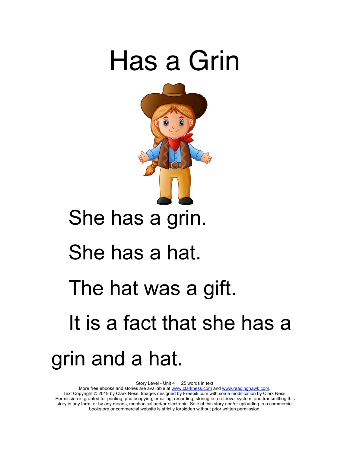

Story Level - Unit 4 25 words in text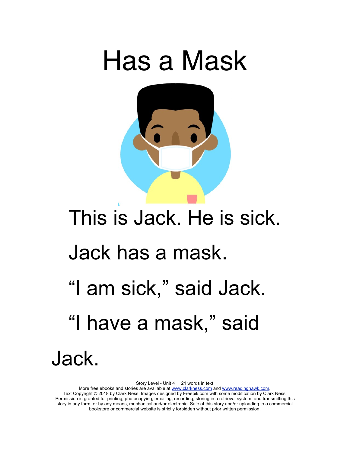

# This is Jack. He is sick. Jack has a mask. "I am sick," said Jack. "I have a mask," said Jack.

Story Level - Unit 4 21 words in text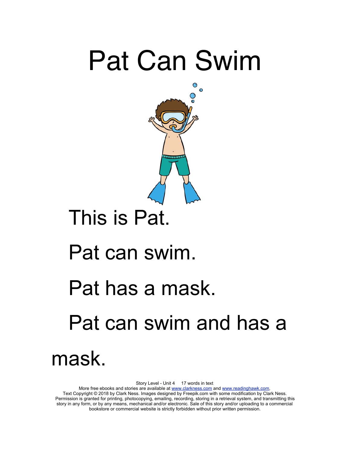### Pat Can Swim



### This is Pat.

#### Pat can swim.

#### Pat has a mask.

### Pat can swim and has a

mask.

Story Level - Unit 4 17 words in text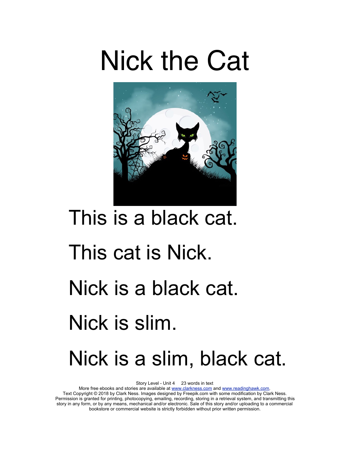### Nick the Cat



# This is a black cat. This cat is Nick. Nick is a black cat. Nick is slim. Nick is a slim, black cat.

Story Level - Unit 4 23 words in text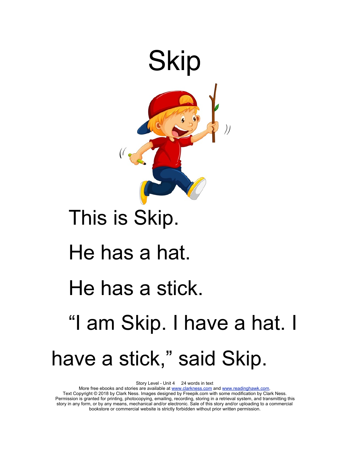

#### This is Skip.

#### He has a hat.

#### He has a stick.

### "I am Skip. I have a hat. I have a stick," said Skip.

Story Level - Unit 4 24 words in text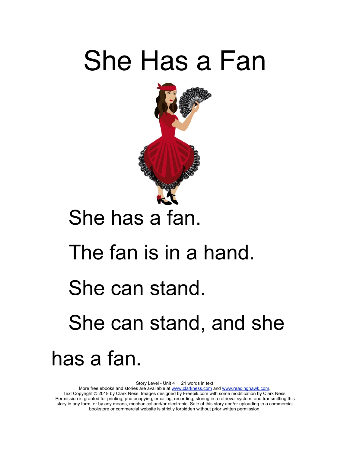### She Has a Fan



### She has a fan.

#### The fan is in a hand.

#### She can stand.

### She can stand, and she

has a fan.

Story Level - Unit 4 21 words in text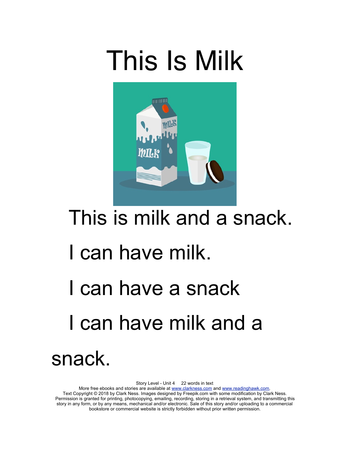## This Is Milk



### This is milk and a snack.

### I can have milk.

### I can have a snack I can have milk and a snack.

Story Level - Unit 4 22 words in text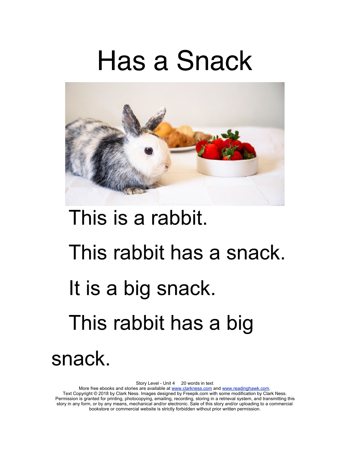### Has a Snack



# This is a rabbit. This rabbit has a snack. It is a big snack. This rabbit has a big snack.

Story Level - Unit 4 20 words in text